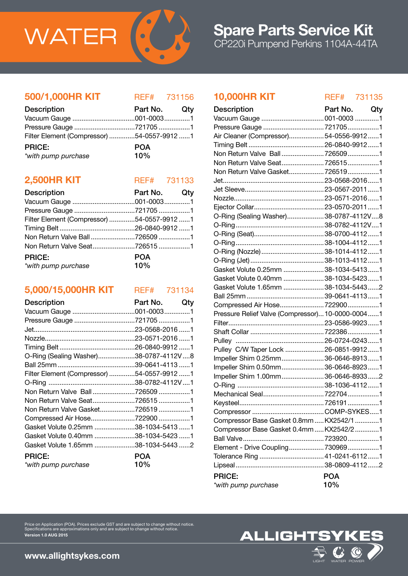

500/1,000HR KIT REF# 731156

| <b>Description</b>                         | Part No. Qty |  |
|--------------------------------------------|--------------|--|
|                                            |              |  |
|                                            |              |  |
| Filter Element (Compressor) 54-0557-9912 1 |              |  |
| <b>PRICE:</b>                              | <b>POA</b>   |  |
| *with pump purchase                        | 10%          |  |

# **2,500HR KIT** REF# 731133

| <b>Description</b>                         | Part No. Qty |  |
|--------------------------------------------|--------------|--|
|                                            |              |  |
|                                            |              |  |
| Filter Element (Compressor) 54-0557-9912 1 |              |  |
|                                            |              |  |
| Non Return Valve Ball7265091               |              |  |
| Non Return Valve Seat7265151               |              |  |
| <b>PRICE:</b>                              | <b>POA</b>   |  |
| *with pump purchase                        | 10%          |  |

# 5,000/15,000HR KIT REF# 731134

| <b>Description</b>                         | Part No. | Qty |
|--------------------------------------------|----------|-----|
|                                            |          |     |
| Pressure Gauge 721705 1                    |          |     |
|                                            |          |     |
|                                            |          |     |
|                                            |          |     |
| O-Ring (Sealing Washer)38-0787-4112V8      |          |     |
|                                            |          |     |
| Filter Element (Compressor) 54-0557-9912 1 |          |     |
|                                            |          |     |
| Non Return Valve Ball7265091               |          |     |
| Non Return Valve Seat7265151               |          |     |
| Non Return Valve Gasket726519 1            |          |     |
| Compressed Air Hose722900 1                |          |     |
| Gasket Volute 0.25mm 38-1034-5413 1        |          |     |
| Gasket Volute 0.40mm 38-1034-5423 1        |          |     |
| Gasket Volute 1.65mm 38-1034-5443 2        |          |     |
| <b>PRICE:</b>                              | POA      |     |
| *with pump purchase                        | 10%      |     |

# 10,000HR KIT REF# 731135

| <b>Description</b>                               | Part No.   | Qty |
|--------------------------------------------------|------------|-----|
| Vacuum Gauge  001-0003 1                         |            |     |
| Pressure Gauge 7217051                           |            |     |
| Air Cleaner (Compressor)54-0556-99121            |            |     |
|                                                  |            |     |
| Non Return Valve Ball  726509 1                  |            |     |
| Non Return Valve Seat7265151                     |            |     |
| Non Return Valve Gasket 7265191                  |            |     |
|                                                  |            |     |
|                                                  |            |     |
|                                                  |            |     |
|                                                  |            |     |
| O-Ring (Sealing Washer)38-0787-4112V8            |            |     |
|                                                  |            |     |
|                                                  |            |     |
|                                                  |            |     |
| O-Ring (Nozzle)  38-1014-4112  1                 |            |     |
|                                                  |            |     |
| Gasket Volute 0.25mm 38-1034-54131               |            |     |
| Gasket Volute 0.40mm 38-1034-5423 1              |            |     |
| Gasket Volute 1.65mm  38-1034-54432              |            |     |
|                                                  |            |     |
|                                                  |            |     |
| Pressure Relief Valve (Compressor) 10-0000-00041 |            |     |
|                                                  |            |     |
|                                                  |            |     |
|                                                  |            |     |
| Pulley C/W Taper Lock  26-0851-9912  1           |            |     |
| Impeller Shim 0.25mm 36-0646-89131               |            |     |
| Impeller Shim 0.50mm36-0646-89231                |            |     |
| Impeller Shim 1.00mm36-0646-89332                |            |     |
|                                                  |            |     |
|                                                  |            |     |
|                                                  |            |     |
|                                                  |            |     |
| Compressor Base Gasket 0.8mm  KX2542/1 1         |            |     |
| Compressor Base Gasket 0.4mm  KX2542/2 1         |            |     |
|                                                  |            |     |
| Element - Drive Coupling 7309691                 |            |     |
| Tolerance Ring  41-0241-6112  1                  |            |     |
|                                                  |            |     |
| <b>PRICE:</b>                                    | <b>POA</b> |     |
| *with pump purchase                              | 10%        |     |
|                                                  |            |     |